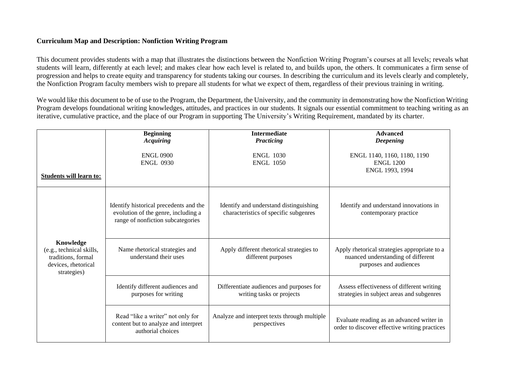## **Curriculum Map and Description: Nonfiction Writing Program**

This document provides students with a map that illustrates the distinctions between the Nonfiction Writing Program's courses at all levels; reveals what students will learn, differently at each level; and makes clear how each level is related to, and builds upon, the others. It communicates a firm sense of progression and helps to create equity and transparency for students taking our courses. In describing the curriculum and its levels clearly and completely, the Nonfiction Program faculty members wish to prepare all students for what we expect of them, regardless of their previous training in writing.

We would like this document to be of use to the Program, the Department, the University, and the community in demonstrating how the Nonfiction Writing Program develops foundational writing knowledges, attitudes, and practices in our students. It signals our essential commitment to teaching writing as an iterative, cumulative practice, and the place of our Program in supporting The University's Writing Requirement, mandated by its charter.

|                                                                                                   | <b>Beginning</b><br><b>Acquiring</b>                                                                               | <b>Intermediate</b><br>Practicing                                               | <b>Advanced</b><br><b>Deepening</b>                                                                          |
|---------------------------------------------------------------------------------------------------|--------------------------------------------------------------------------------------------------------------------|---------------------------------------------------------------------------------|--------------------------------------------------------------------------------------------------------------|
| <b>Students will learn to:</b>                                                                    | <b>ENGL 0900</b><br><b>ENGL 0930</b>                                                                               | <b>ENGL 1030</b><br><b>ENGL 1050</b>                                            | ENGL 1140, 1160, 1180, 1190<br><b>ENGL 1200</b><br>ENGL 1993, 1994                                           |
| Knowledge<br>(e.g., technical skills,<br>traditions, formal<br>devices, rhetorical<br>strategies) | Identify historical precedents and the<br>evolution of the genre, including a<br>range of nonfiction subcategories | Identify and understand distinguishing<br>characteristics of specific subgenres | Identify and understand innovations in<br>contemporary practice                                              |
|                                                                                                   | Name rhetorical strategies and<br>understand their uses                                                            | Apply different rhetorical strategies to<br>different purposes                  | Apply rhetorical strategies appropriate to a<br>nuanced understanding of different<br>purposes and audiences |
|                                                                                                   | Identify different audiences and<br>purposes for writing                                                           | Differentiate audiences and purposes for<br>writing tasks or projects           | Assess effectiveness of different writing<br>strategies in subject areas and subgenres                       |
|                                                                                                   | Read "like a writer" not only for<br>content but to analyze and interpret<br>authorial choices                     | Analyze and interpret texts through multiple<br>perspectives                    | Evaluate reading as an advanced writer in<br>order to discover effective writing practices                   |